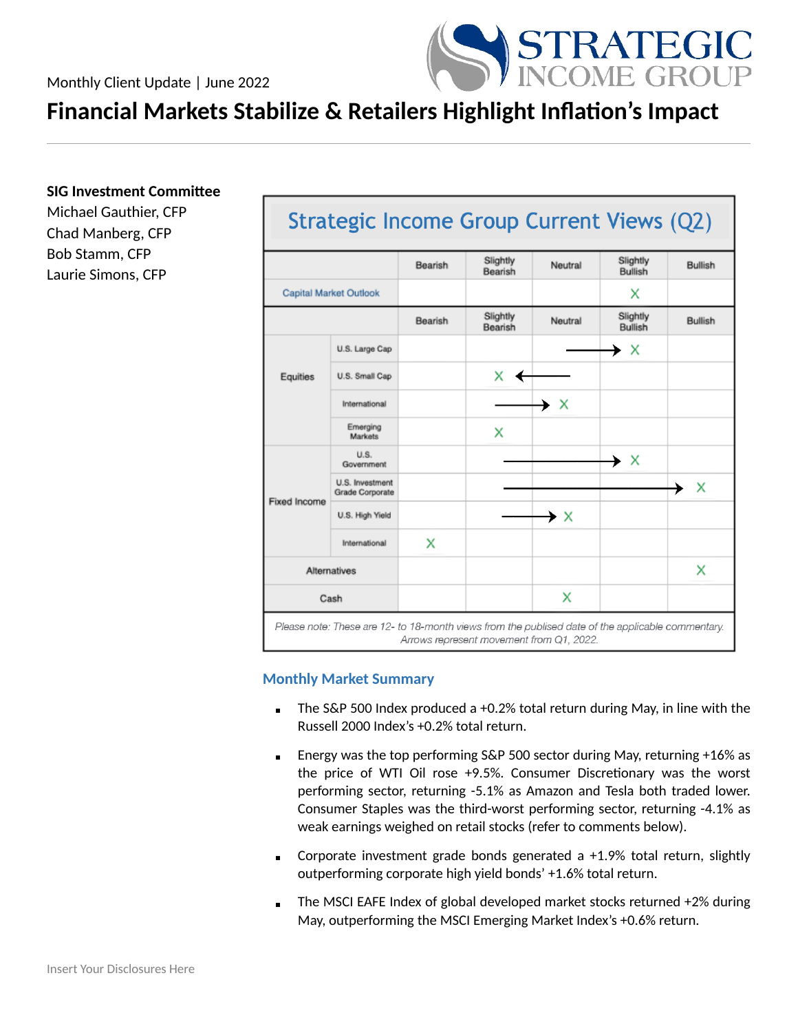

# **Financial Markets Stabilize & Retailers Highlight Inflation's Impact**

**SIG Investment Committee**

Michael Gauthier, CFP Chad Manberg, CFP Bob Stamm, CFP Laurie Simons, CFP

|                     |                                           | Bearish | Slightly<br>Bearish | Neutral | Slightly<br><b>Bullish</b> | <b>Bullish</b> |
|---------------------|-------------------------------------------|---------|---------------------|---------|----------------------------|----------------|
|                     | <b>Capital Market Outlook</b>             |         |                     |         | x                          |                |
|                     |                                           | Bearish | Slightly<br>Bearish | Neutral | Slightly<br><b>Bullish</b> | <b>Bullish</b> |
|                     | U.S. Large Cap                            |         |                     |         | → X                        |                |
| Equities            | U.S. Small Cap                            |         | X.                  |         |                            |                |
|                     | International                             |         |                     | → x     |                            |                |
|                     | Emerging<br>Markets                       |         | x                   |         |                            |                |
| <b>Fixed Income</b> | U.S.<br>Government                        |         |                     |         | → X                        |                |
|                     | U.S. Investment<br><b>Grade Corporate</b> |         |                     |         |                            | X              |
|                     | U.S. High Yield                           |         |                     | → ×     |                            |                |
|                     | International                             | x       |                     |         |                            |                |
|                     | <b>Alternatives</b>                       |         |                     |         |                            | x              |
| Cash                |                                           |         |                     | x       |                            |                |

# **Monthly Market Summary**

- $\blacksquare$  The S&P 500 Index produced a +0.2% total return during May, in line with the Russell 2000 Index's +0.2% total return.
- Energy was the top performing S&P 500 sector during May, returning +16% as the price of WTI Oil rose +9.5%. Consumer Discretionary was the worst performing sector, returning -5.1% as Amazon and Tesla both traded lower. Consumer Staples was the third-worst performing sector, returning -4.1% as weak earnings weighed on retail stocks (refer to comments below).
- **•** Corporate investment grade bonds generated a  $+1.9\%$  total return, slightly outperforming corporate high yield bonds' +1.6% total return.
- The MSCI EAFE Index of global developed market stocks returned +2% during May, outperforming the MSCI Emerging Market Index's +0.6% return.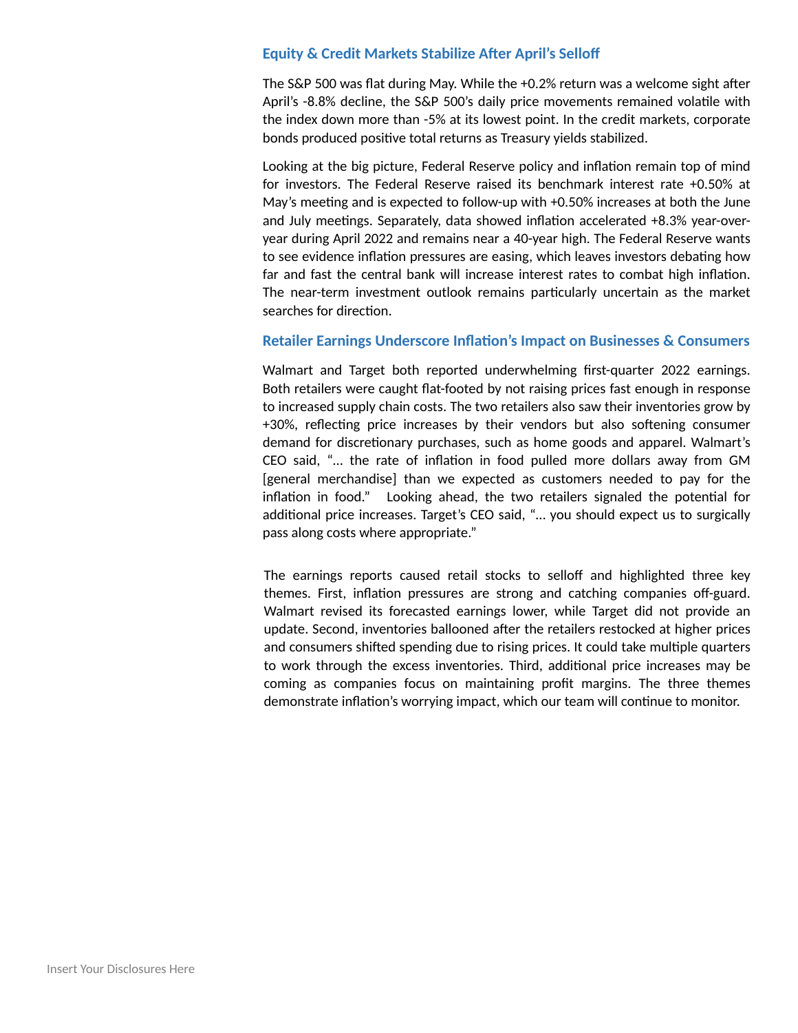## **Equity & Credit Markets Stabilize After April's Selloff**

The S&P 500 was flat during May. While the +0.2% return was a welcome sight after April's -8.8% decline, the S&P 500's daily price movements remained volatile with the index down more than -5% at its lowest point. In the credit markets, corporate bonds produced positive total returns as Treasury yields stabilized.

Looking at the big picture, Federal Reserve policy and inflation remain top of mind for investors. The Federal Reserve raised its benchmark interest rate +0.50% at May's meeting and is expected to follow-up with +0.50% increases at both the June and July meetings. Separately, data showed inflation accelerated +8.3% year-overyear during April 2022 and remains near a 40-year high. The Federal Reserve wants to see evidence inflation pressures are easing, which leaves investors debating how far and fast the central bank will increase interest rates to combat high inflation. The near-term investment outlook remains particularly uncertain as the market searches for direction.

## **Retailer Earnings Underscore Inflation's Impact on Businesses & Consumers**

Walmart and Target both reported underwhelming first-quarter 2022 earnings. Both retailers were caught flat-footed by not raising prices fast enough in response to increased supply chain costs. The two retailers also saw their inventories grow by +30%, reflecting price increases by their vendors but also softening consumer demand for discretionary purchases, such as home goods and apparel. Walmart's CEO said, "… the rate of inflation in food pulled more dollars away from GM [general merchandise] than we expected as customers needed to pay for the inflation in food." Looking ahead, the two retailers signaled the potential for additional price increases. Target's CEO said, "… you should expect us to surgically pass along costs where appropriate."

The earnings reports caused retail stocks to selloff and highlighted three key themes. First, inflation pressures are strong and catching companies off-guard. Walmart revised its forecasted earnings lower, while Target did not provide an update. Second, inventories ballooned after the retailers restocked at higher prices and consumers shifted spending due to rising prices. It could take multiple quarters to work through the excess inventories. Third, additional price increases may be coming as companies focus on maintaining profit margins. The three themes demonstrate inflation's worrying impact, which our team will continue to monitor.